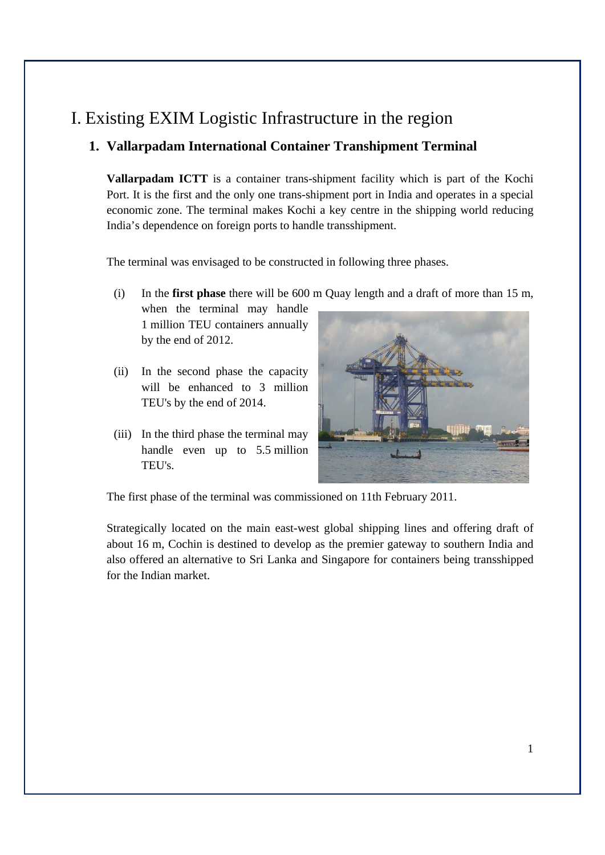# I. Existing EXIM Logistic Infrastructure in the region

## **1. Vallarpadam International Container Transhipment Terminal**

**Vallarpadam ICTT** is a container trans-shipment facility which is part of the Kochi Port. It is the first and the only one trans-shipment port in India and operates in a special economic zone. The terminal makes Kochi a key centre in the shipping world reducing India's dependence on foreign ports to handle transshipment.

The terminal was envisaged to be constructed in following three phases.

(i) In the **first phase** there will be 600 m Quay length and a draft of more than 15 m,

when the terminal may handle 1 million TEU containers annually by the end of 2012.

- (ii) In the second phase the capacity will be enhanced to 3 million TEU's by the end of 2014.
- (iii) In the third phase the terminal may handle even up to 5.5 million TEU's.



The first phase of the terminal was commissioned on 11th February 2011.

Strategically located on the main east-west global shipping lines and offering draft of about 16 m, Cochin is destined to develop as the premier gateway to southern India and also offered an alternative to Sri Lanka and Singapore for containers being transshipped for the Indian market.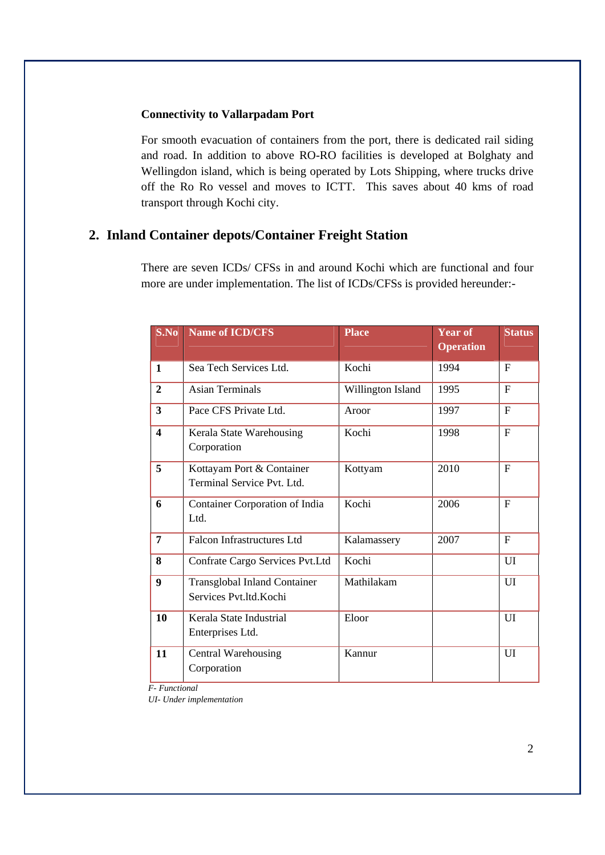#### **Connectivity to Vallarpadam Port**

For smooth evacuation of containers from the port, there is dedicated rail siding and road. In addition to above RO-RO facilities is developed at Bolghaty and Wellingdon island, which is being operated by Lots Shipping, where trucks drive off the Ro Ro vessel and moves to ICTT. This saves about 40 kms of road transport through Kochi city.

### **2. Inland Container depots/Container Freight Station**

There are seven ICDs/ CFSs in and around Kochi which are functional and four more are under implementation. The list of ICDs/CFSs is provided hereunder:-

| S.No                    | Name of ICD/CFS                                               | <b>Place</b>      | <b>Year of</b><br><b>Operation</b> | <b>Status</b> |
|-------------------------|---------------------------------------------------------------|-------------------|------------------------------------|---------------|
| $\mathbf{1}$            | Sea Tech Services Ltd.                                        | Kochi             | 1994                               | F             |
| $\overline{2}$          | <b>Asian Terminals</b>                                        | Willington Island | 1995                               | F             |
| $\overline{\mathbf{3}}$ | Pace CFS Private Ltd.                                         | Aroor             | 1997                               | F             |
| $\overline{\mathbf{4}}$ | Kerala State Warehousing<br>Corporation                       | Kochi             | 1998                               | F             |
| 5                       | Kottayam Port & Container<br>Terminal Service Pvt. Ltd.       | Kottyam           | 2010                               | F             |
| 6                       | <b>Container Corporation of India</b><br>Ltd.                 | Kochi             | 2006                               | F             |
| $\overline{7}$          | <b>Falcon Infrastructures Ltd</b>                             | Kalamassery       | 2007                               | $_{\rm F}$    |
| 8                       | Confrate Cargo Services Pvt.Ltd                               | Kochi             |                                    | UI            |
| 9                       | <b>Transglobal Inland Container</b><br>Services Pvt.ltd.Kochi | Mathilakam        |                                    | UI            |
| 10                      | Kerala State Industrial<br>Enterprises Ltd.                   | Eloor             |                                    | UI            |
| 11                      | <b>Central Warehousing</b><br>Corporation                     | Kannur            |                                    | UI            |

*F- Functional* 

*UI- Under implementation*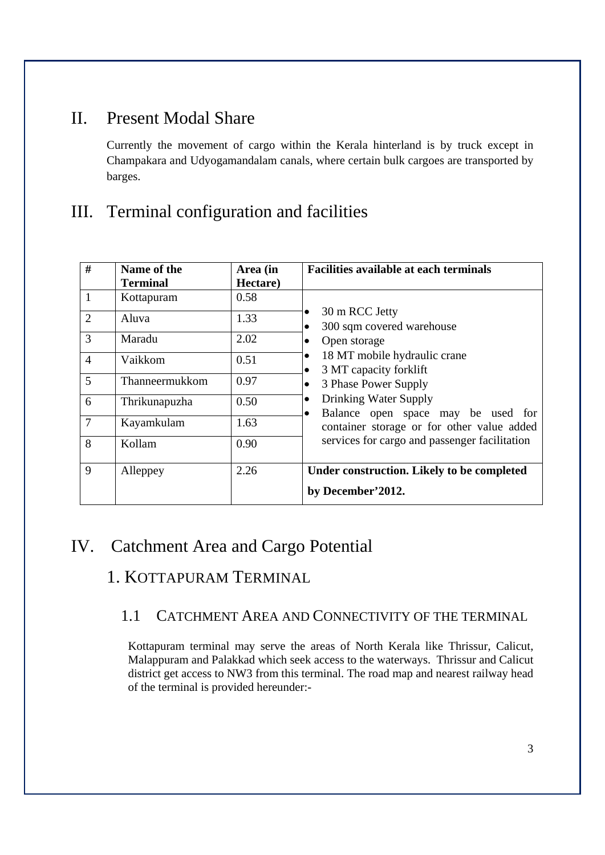# II. Present Modal Share

Currently the movement of cargo within the Kerala hinterland is by truck except in Champakara and Udyogamandalam canals, where certain bulk cargoes are transported by barges.

# III. Terminal configuration and facilities

| #              | Name of the<br><b>Terminal</b> | Area (in<br>Hectare) | <b>Facilities available at each terminals</b>                    |
|----------------|--------------------------------|----------------------|------------------------------------------------------------------|
| $\mathbf{1}$   | Kottapuram                     | 0.58                 |                                                                  |
| $\overline{2}$ | Aluva                          | 1.33                 | 30 m RCC Jetty<br>300 sqm covered warehouse<br>٠                 |
| 3              | Maradu                         | 2.02                 | Open storage<br>٠                                                |
| $\overline{4}$ | Vaikkom                        | 0.51                 | 18 MT mobile hydraulic crane<br>٠<br>3 MT capacity forklift<br>٠ |
| 5              | Thanneermukkom                 | 0.97                 | 3 Phase Power Supply                                             |
| 6              | Thrikunapuzha                  | 0.50                 | Drinking Water Supply<br>٠<br>Balance open space may be used for |
| $\overline{7}$ | Kayamkulam                     | 1.63                 | container storage or for other value added                       |
| 8              | Kollam                         | 0.90                 | services for cargo and passenger facilitation                    |
| 9              | Alleppey                       | 2.26                 | Under construction. Likely to be completed                       |
|                |                                |                      | by December'2012.                                                |

# IV. Catchment Area and Cargo Potential

# 1. KOTTAPURAM TERMINAL

## 1.1 CATCHMENT AREA AND CONNECTIVITY OF THE TERMINAL

Kottapuram terminal may serve the areas of North Kerala like Thrissur, Calicut, Malappuram and Palakkad which seek access to the waterways. Thrissur and Calicut district get access to NW3 from this terminal. The road map and nearest railway head of the terminal is provided hereunder:-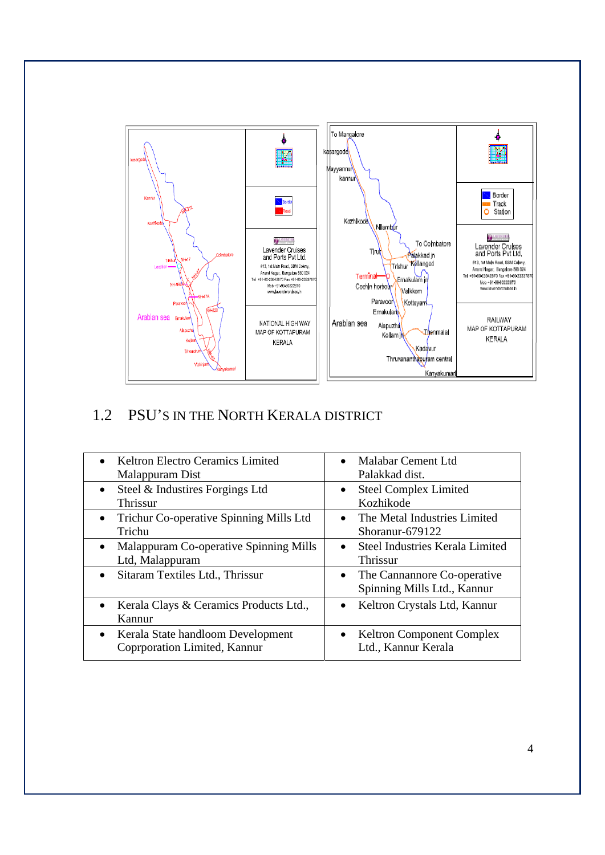

# 1.2 PSU'S IN THE NORTH KERALA DISTRICT

| <b>Keltron Electro Ceramics Limited</b><br>Malappuram Dist                     | Malabar Cement Ltd<br>Palakkad dist.                                    |
|--------------------------------------------------------------------------------|-------------------------------------------------------------------------|
| Steel & Industires Forgings Ltd<br>Thrissur                                    | <b>Steel Complex Limited</b><br>Kozhikode                               |
| • Trichur Co-operative Spinning Mills Ltd<br>Trichu                            | The Metal Industries Limited<br>$\bullet$<br>Shoranur-679122            |
| Malappuram Co-operative Spinning Mills<br>Ltd, Malappuram                      | <b>Steel Industries Kerala Limited</b><br>$\bullet$<br>Thrissur         |
| Sitaram Textiles Ltd., Thrissur                                                | The Cannannore Co-operative<br>$\bullet$<br>Spinning Mills Ltd., Kannur |
| Kerala Clays & Ceramics Products Ltd.,<br>$\bullet$<br>Kannur                  | Keltron Crystals Ltd, Kannur                                            |
| Kerala State handloom Development<br>$\bullet$<br>Coprporation Limited, Kannur | <b>Keltron Component Complex</b><br>Ltd., Kannur Kerala                 |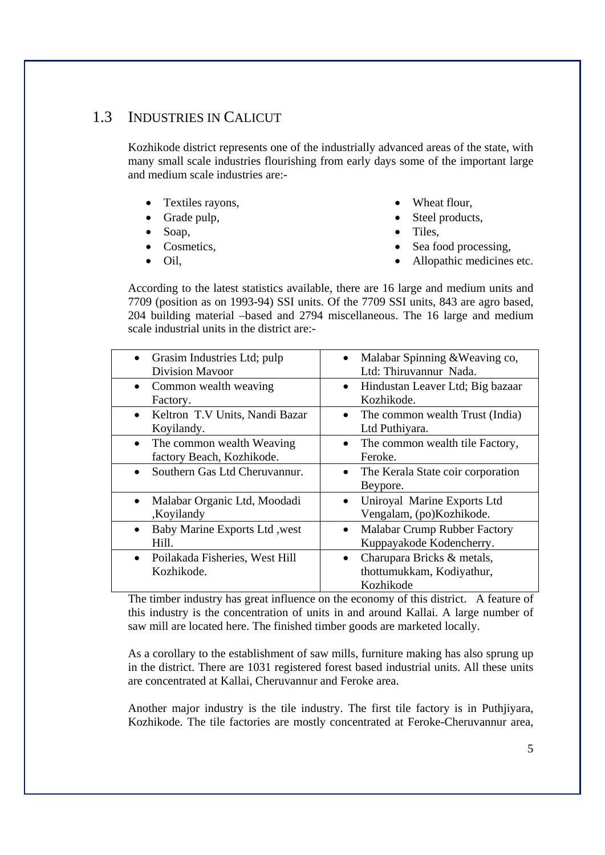## 1.3 INDUSTRIES IN CALICUT

Kozhikode district represents one of the industrially advanced areas of the state, with many small scale industries flourishing from early days some of the important large and medium scale industries are:-

- Textiles rayons,
- Grade pulp,
- Soap,
- Cosmetics,
- Oil,
- Wheat flour,
- Steel products,
- Tiles,
- Sea food processing,
- Allopathic medicines etc.

According to the latest statistics available, there are 16 large and medium units and 7709 (position as on 1993-94) SSI units. Of the 7709 SSI units, 843 are agro based, 204 building material –based and 2794 miscellaneous. The 16 large and medium scale industrial units in the district are:-

| • Grasim Industries Ltd; pulp<br><b>Division Mavoor</b>             | Malabar Spinning & Weaving co,<br>Ltd: Thiruvannur Nada.             |
|---------------------------------------------------------------------|----------------------------------------------------------------------|
| Common wealth weaving<br>$\bullet$<br>Factory.                      | Hindustan Leaver Ltd; Big bazaar<br>Kozhikode.                       |
| • Keltron T.V Units, Nandi Bazar<br>Koyilandy.                      | The common wealth Trust (India)<br>Ltd Puthiyara.                    |
| The common wealth Weaving<br>$\bullet$<br>factory Beach, Kozhikode. | The common wealth tile Factory,<br>Feroke.                           |
| Southern Gas Ltd Cheruvannur.<br>$\bullet$                          | The Kerala State coir corporation<br>$\bullet$<br>Beypore.           |
| Malabar Organic Ltd, Moodadi<br>$\bullet$<br>,Koyilandy             | Uniroyal Marine Exports Ltd<br>Vengalam, (po)Kozhikode.              |
| Baby Marine Exports Ltd , west<br>$\bullet$<br>Hill.                | <b>Malabar Crump Rubber Factory</b><br>Kuppayakode Kodencherry.      |
| Poilakada Fisheries, West Hill<br>$\bullet$<br>Kozhikode.           | Charupara Bricks & metals,<br>thottumukkam, Kodiyathur,<br>Kozhikode |

The timber industry has great influence on the economy of this district. A feature of this industry is the concentration of units in and around Kallai. A large number of saw mill are located here. The finished timber goods are marketed locally.

As a corollary to the establishment of saw mills, furniture making has also sprung up in the district. There are 1031 registered forest based industrial units. All these units are concentrated at Kallai, Cheruvannur and Feroke area.

Another major industry is the tile industry. The first tile factory is in Puthjiyara, Kozhikode. The tile factories are mostly concentrated at Feroke-Cheruvannur area,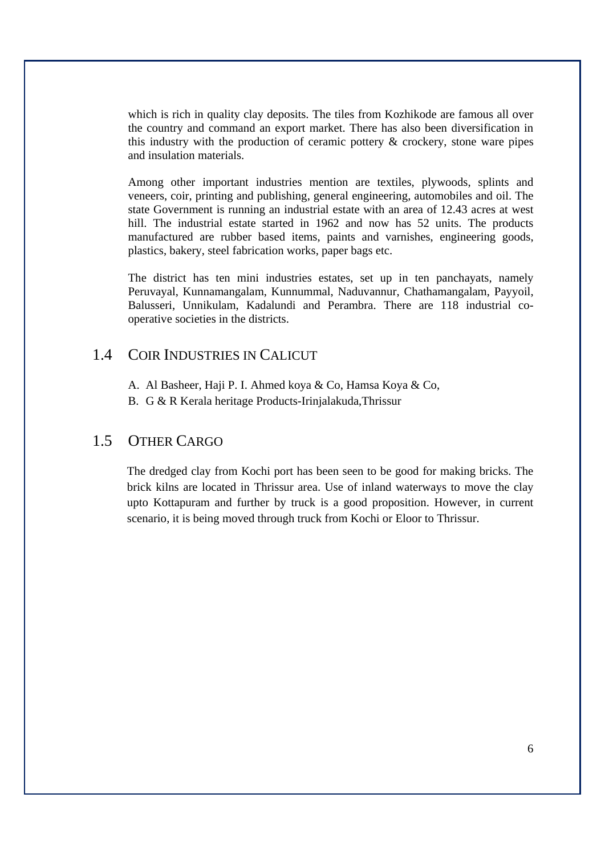which is rich in quality clay deposits. The tiles from Kozhikode are famous all over the country and command an export market. There has also been diversification in this industry with the production of ceramic pottery & crockery, stone ware pipes and insulation materials.

Among other important industries mention are textiles, plywoods, splints and veneers, coir, printing and publishing, general engineering, automobiles and oil. The state Government is running an industrial estate with an area of 12.43 acres at west hill. The industrial estate started in 1962 and now has 52 units. The products manufactured are rubber based items, paints and varnishes, engineering goods, plastics, bakery, steel fabrication works, paper bags etc.

The district has ten mini industries estates, set up in ten panchayats, namely Peruvayal, Kunnamangalam, Kunnummal, Naduvannur, Chathamangalam, Payyoil, Balusseri, Unnikulam, Kadalundi and Perambra. There are 118 industrial cooperative societies in the districts.

## 1.4 COIR INDUSTRIES IN CALICUT

- A. Al Basheer, Haji P. I. Ahmed koya & Co, Hamsa Koya & Co,
- B. G & R Kerala heritage Products-Irinjalakuda,Thrissur

## 1.5 OTHER CARGO

The dredged clay from Kochi port has been seen to be good for making bricks. The brick kilns are located in Thrissur area. Use of inland waterways to move the clay upto Kottapuram and further by truck is a good proposition. However, in current scenario, it is being moved through truck from Kochi or Eloor to Thrissur.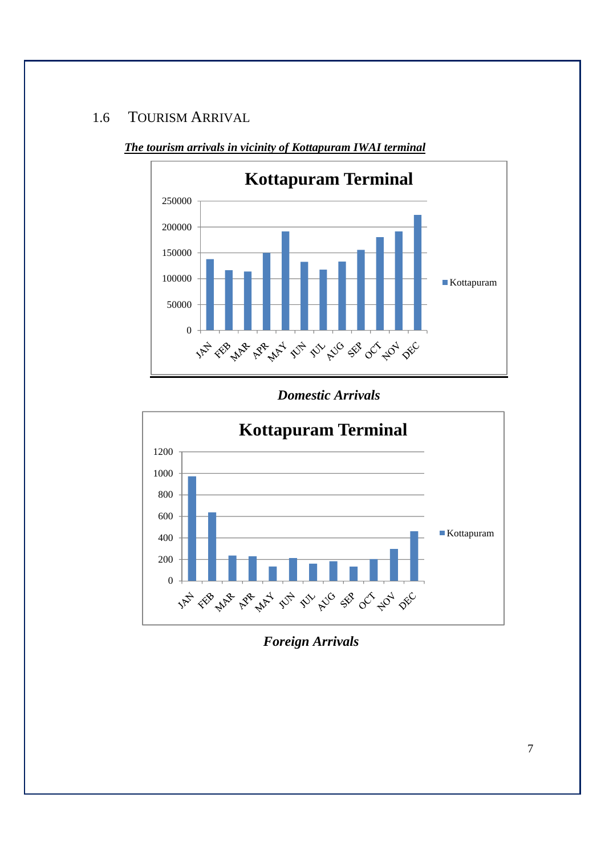## 1.6 TOURISM ARRIVAL



## *The tourism arrivals in vicinity of Kottapuram IWAI terminal*

### *Domestic Arrivals*



## *Foreign Arrivals*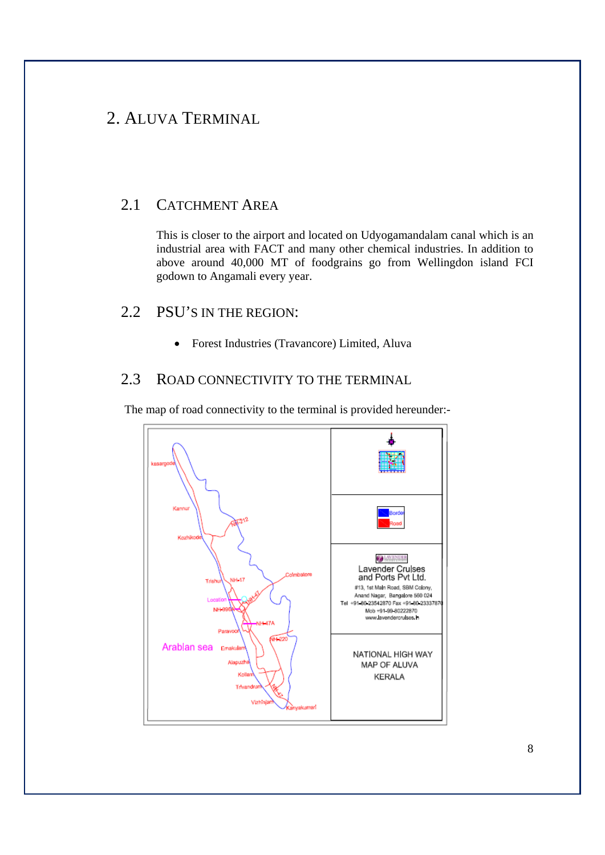## 2. ALUVA TERMINAL

## 2.1 CATCHMENT AREA

This is closer to the airport and located on Udyogamandalam canal which is an industrial area with FACT and many other chemical industries. In addition to above around 40,000 MT of foodgrains go from Wellingdon island FCI godown to Angamali every year.

## 2.2 PSU'S IN THE REGION:

Forest Industries (Travancore) Limited, Aluva

### 2.3 ROAD CONNECTIVITY TO THE TERMINAL

The map of road connectivity to the terminal is provided hereunder:-

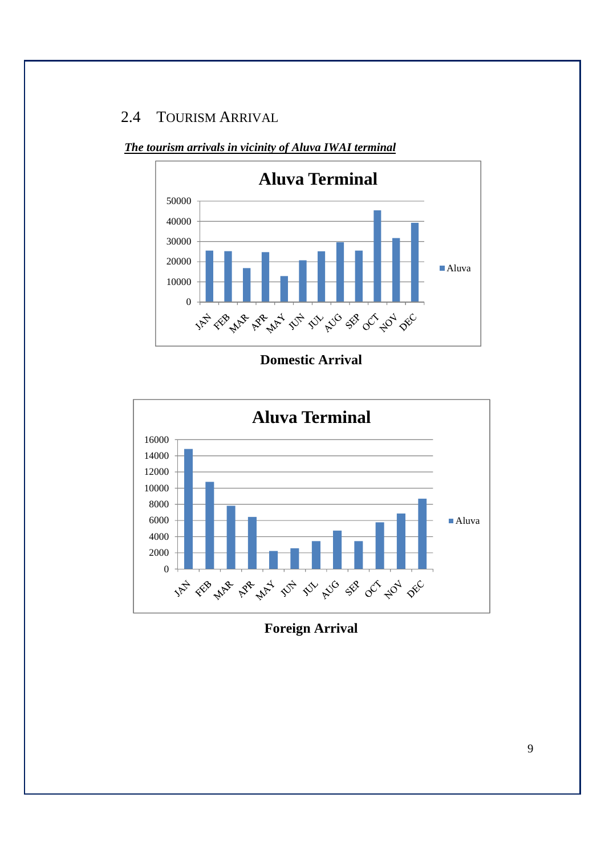## 2.4 TOURISM ARRIVAL



*The tourism arrivals in vicinity of Aluva IWAI terminal*

**Domestic Arrival** 



**Foreign Arrival**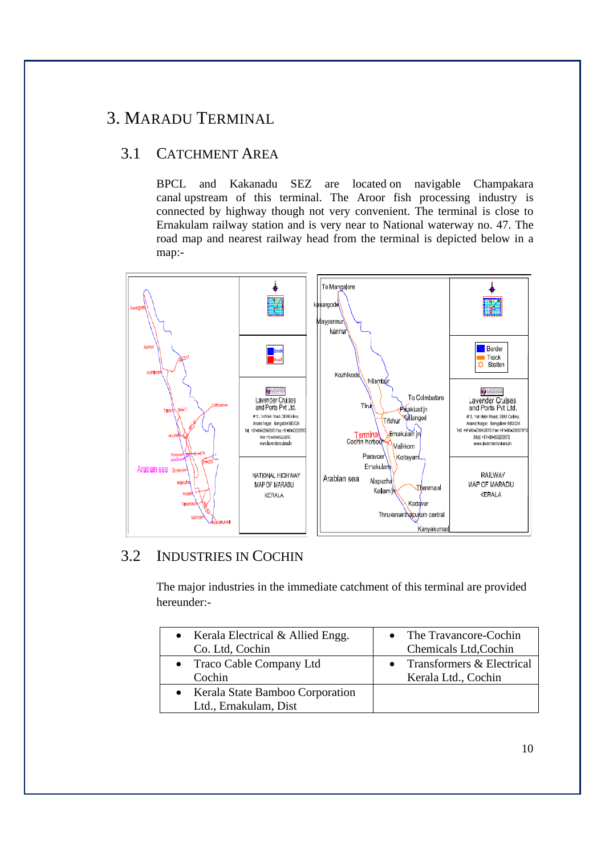# 3. MARADU TERMINAL

## 3.1 CATCHMENT AREA

BPCL and Kakanadu SEZ are located on navigable Champakara canal upstream of this terminal. The Aroor fish processing industry is connected by highway though not very convenient. The terminal is close to Ernakulam railway station and is very near to National waterway no. 47. The road map and nearest railway head from the terminal is depicted below in a map:-



## 3.2 INDUSTRIES IN COCHIN

The major industries in the immediate catchment of this terminal are provided hereunder:-

| • Kerala Electrical $&$ Allied Engg.                       | • The Travancore-Cochin   |
|------------------------------------------------------------|---------------------------|
| Co. Ltd, Cochin                                            | Chemicals Ltd, Cochin     |
| • Traco Cable Company Ltd                                  | Transformers & Electrical |
| Cochin                                                     | Kerala Ltd., Cochin       |
| • Kerala State Bamboo Corporation<br>Ltd., Ernakulam, Dist |                           |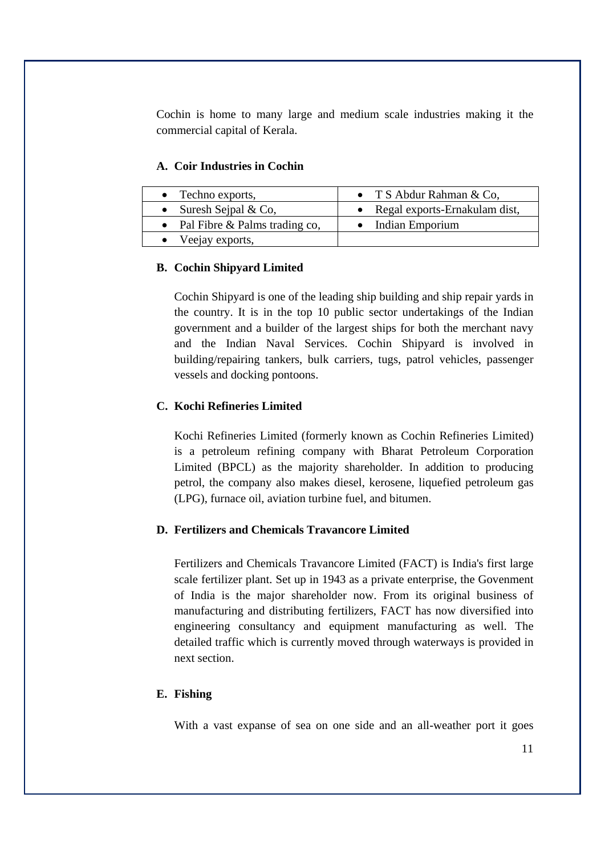Cochin is home to many large and medium scale industries making it the commercial capital of Kerala.

#### **A. Coir Industries in Cochin**

| $\bullet$ Techno exports,       | • T S Abdur Rahman & Co,        |
|---------------------------------|---------------------------------|
| • Suresh Sejpal $& Co,$         | • Regal exports-Ernakulam dist, |
| • Pal Fibre & Palms trading co, | • Indian Emporium               |
| • Veejay exports,               |                                 |

#### **B. Cochin Shipyard Limited**

Cochin Shipyard is one of the leading ship building and ship repair yards in the country. It is in the top 10 public sector undertakings of the Indian government and a builder of the largest ships for both the merchant navy and the Indian Naval Services. Cochin Shipyard is involved in building/repairing tankers, bulk carriers, tugs, patrol vehicles, passenger vessels and docking pontoons.

#### **C. Kochi Refineries Limited**

Kochi Refineries Limited (formerly known as Cochin Refineries Limited) is a petroleum refining company with Bharat Petroleum Corporation Limited (BPCL) as the majority shareholder. In addition to producing petrol, the company also makes diesel, kerosene, liquefied petroleum gas (LPG), furnace oil, aviation turbine fuel, and bitumen.

#### **D. Fertilizers and Chemicals Travancore Limited**

Fertilizers and Chemicals Travancore Limited (FACT) is India's first large scale fertilizer plant. Set up in 1943 as a private enterprise, the Govenment of India is the major shareholder now. From its original business of manufacturing and distributing fertilizers, FACT has now diversified into engineering consultancy and equipment manufacturing as well. The detailed traffic which is currently moved through waterways is provided in next section.

#### **E. Fishing**

With a vast expanse of sea on one side and an all-weather port it goes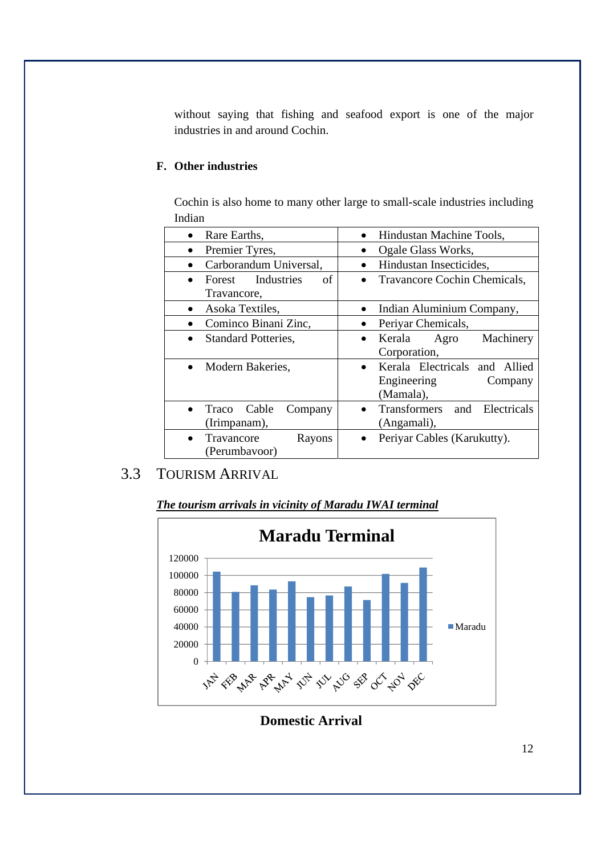without saying that fishing and seafood export is one of the major industries in and around Cochin.

### **F. Other industries**

|        |  | Cochin is also home to many other large to small-scale industries including |  |
|--------|--|-----------------------------------------------------------------------------|--|
| Indian |  |                                                                             |  |

| Rare Earths,<br>$\bullet$                 | Hindustan Machine Tools,                                             |
|-------------------------------------------|----------------------------------------------------------------------|
| Premier Tyres,                            | Ogale Glass Works,                                                   |
| Carborandum Universal,                    | Hindustan Insecticides,                                              |
| Forest Industries<br>of<br>Travancore,    | Travancore Cochin Chemicals,                                         |
| Asoka Textiles,                           | Indian Aluminium Company,                                            |
| Cominco Binani Zinc,                      | Periyar Chemicals,                                                   |
| <b>Standard Potteries,</b>                | Kerala<br>Machinery<br>Agro<br>Corporation,                          |
| Modern Bakeries,                          | Kerala Electricals and Allied<br>Engineering<br>Company<br>(Mamala), |
| Cable<br>Traco<br>Company<br>(Irimpanam), | Transformers<br>and Electricals<br>(Angamali),                       |
| Travancore<br>Rayons<br>(Perumbavoor)     | Periyar Cables (Karukutty).                                          |

## 3.3 TOURISM ARRIVAL





**Domestic Arrival**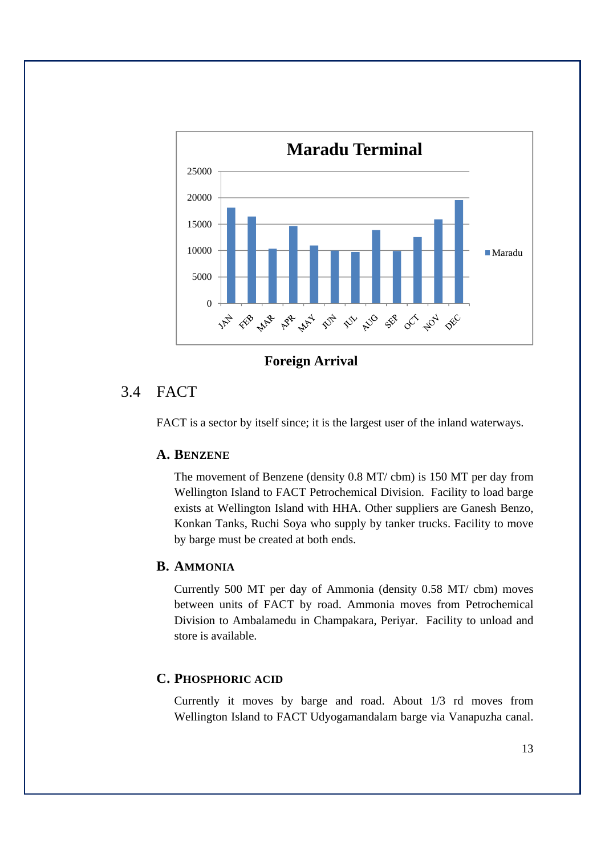

**Foreign Arrival** 

## 3.4 FACT

FACT is a sector by itself since; it is the largest user of the inland waterways.

### **A. BENZENE**

The movement of Benzene (density 0.8 MT/ cbm) is 150 MT per day from Wellington Island to FACT Petrochemical Division. Facility to load barge exists at Wellington Island with HHA. Other suppliers are Ganesh Benzo, Konkan Tanks, Ruchi Soya who supply by tanker trucks. Facility to move by barge must be created at both ends.

### **B. AMMONIA**

Currently 500 MT per day of Ammonia (density 0.58 MT/ cbm) moves between units of FACT by road. Ammonia moves from Petrochemical Division to Ambalamedu in Champakara, Periyar. Facility to unload and store is available.

## **C. PHOSPHORIC ACID**

Currently it moves by barge and road. About 1/3 rd moves from Wellington Island to FACT Udyogamandalam barge via Vanapuzha canal.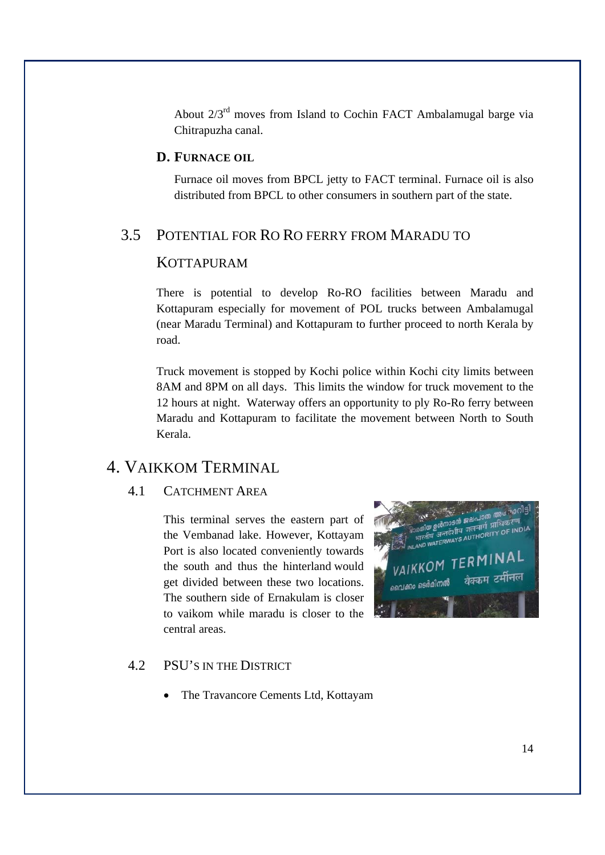About  $2/3<sup>rd</sup>$  moves from Island to Cochin FACT Ambalamugal barge via Chitrapuzha canal.

#### **D. FURNACE OIL**

Furnace oil moves from BPCL jetty to FACT terminal. Furnace oil is also distributed from BPCL to other consumers in southern part of the state.

## 3.5 POTENTIAL FOR RO RO FERRY FROM MARADU TO

### **KOTTAPURAM**

There is potential to develop Ro-RO facilities between Maradu and Kottapuram especially for movement of POL trucks between Ambalamugal (near Maradu Terminal) and Kottapuram to further proceed to north Kerala by road.

Truck movement is stopped by Kochi police within Kochi city limits between 8AM and 8PM on all days. This limits the window for truck movement to the 12 hours at night. Waterway offers an opportunity to ply Ro-Ro ferry between Maradu and Kottapuram to facilitate the movement between North to South Kerala.

## 4. VAIKKOM TERMINAL

#### 4.1 CATCHMENT AREA

This terminal serves the eastern part of the Vembanad lake. However, Kottayam Port is also located conveniently towards the south and thus the hinterland would get divided between these two locations. The southern side of Ernakulam is closer to vaikom while maradu is closer to the central areas.



### 4.2 PSU'S IN THE DISTRICT

• The Travancore Cements Ltd, Kottayam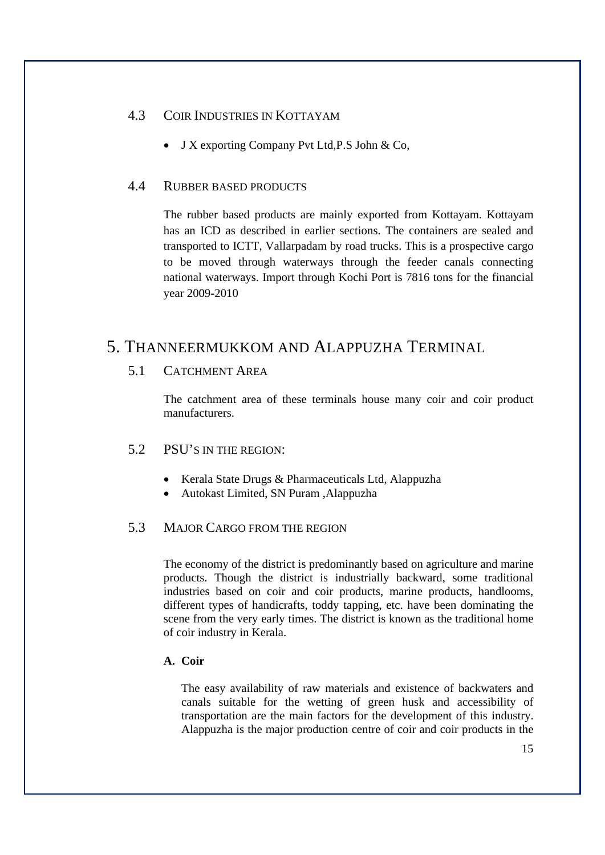#### 4.3 COIR INDUSTRIES IN KOTTAYAM

J X exporting Company Pvt Ltd,P.S John & Co,

#### 4.4 RUBBER BASED PRODUCTS

The rubber based products are mainly exported from Kottayam. Kottayam has an ICD as described in earlier sections. The containers are sealed and transported to ICTT, Vallarpadam by road trucks. This is a prospective cargo to be moved through waterways through the feeder canals connecting national waterways. Import through Kochi Port is 7816 tons for the financial year 2009-2010

## 5. THANNEERMUKKOM AND ALAPPUZHA TERMINAL

### 5.1 CATCHMENT AREA

The catchment area of these terminals house many coir and coir product manufacturers.

#### 5.2 PSU'S IN THE REGION:

- Kerala State Drugs & Pharmaceuticals Ltd, Alappuzha
- Autokast Limited, SN Puram ,Alappuzha

#### 5.3 MAJOR CARGO FROM THE REGION

The economy of the district is predominantly based on agriculture and marine products. Though the district is industrially backward, some traditional industries based on coir and coir products, marine products, handlooms, different types of handicrafts, toddy tapping, etc. have been dominating the scene from the very early times. The district is known as the traditional home of coir industry in Kerala.

### **A. Coir**

The easy availability of raw materials and existence of backwaters and canals suitable for the wetting of green husk and accessibility of transportation are the main factors for the development of this industry. Alappuzha is the major production centre of coir and coir products in the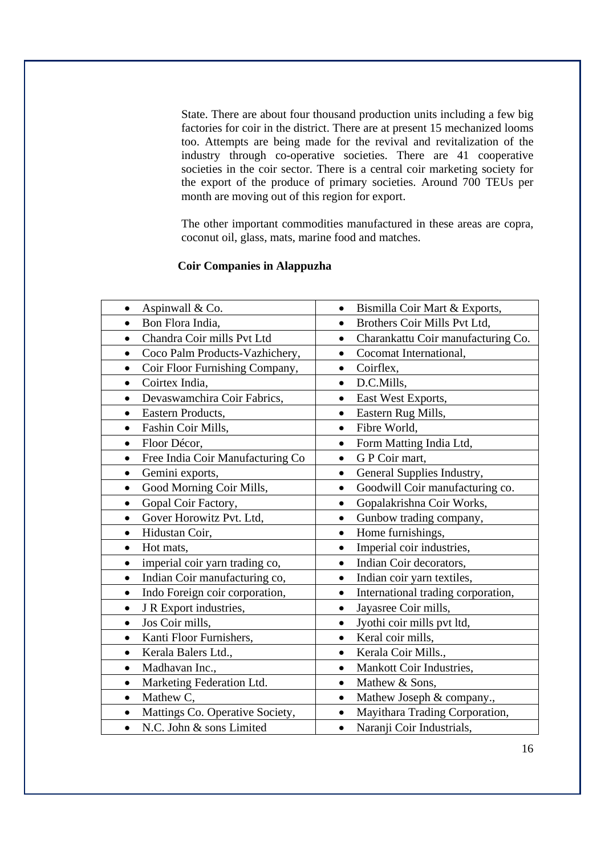State. There are about four thousand production units including a few big factories for coir in the district. There are at present 15 mechanized looms too. Attempts are being made for the revival and revitalization of the industry through co-operative societies. There are 41 cooperative societies in the coir sector. There is a central coir marketing society for the export of the produce of primary societies. Around 700 TEUs per month are moving out of this region for export.

The other important commodities manufactured in these areas are copra, coconut oil, glass, mats, marine food and matches.

#### **Coir Companies in Alappuzha**

| Aspinwall & Co.                  | Bismilla Coir Mart & Exports,           |
|----------------------------------|-----------------------------------------|
| Bon Flora India,                 | Brothers Coir Mills Pvt Ltd,            |
| Chandra Coir mills Pvt Ltd       | Charankattu Coir manufacturing Co.      |
| $\bullet$                        | $\bullet$                               |
| Coco Palm Products-Vazhichery,   | Cocomat International,<br>$\bullet$     |
| Coir Floor Furnishing Company,   | Coirflex,                               |
| $\bullet$                        | $\bullet$                               |
| Coirtex India,                   | D.C.Mills,                              |
|                                  | $\bullet$                               |
| Devaswamchira Coir Fabrics,      | East West Exports,<br>$\bullet$         |
| Eastern Products,                | Eastern Rug Mills,                      |
|                                  | $\bullet$                               |
| Fashin Coir Mills,               | Fibre World,                            |
| $\bullet$                        | $\bullet$                               |
| Floor Décor,                     | Form Matting India Ltd,                 |
| $\bullet$                        | $\bullet$                               |
| Free India Coir Manufacturing Co | G P Coir mart,                          |
| $\bullet$                        | $\bullet$                               |
| Gemini exports,                  | General Supplies Industry,<br>$\bullet$ |
| Good Morning Coir Mills,         | Goodwill Coir manufacturing co.         |
| $\bullet$                        | $\bullet$                               |
| Gopal Coir Factory,              | Gopalakrishna Coir Works,               |
| $\bullet$                        | $\bullet$                               |
| Gover Horowitz Pvt. Ltd,         | Gunbow trading company,                 |
|                                  | $\bullet$                               |
| Hidustan Coir,                   | Home furnishings,                       |
| $\bullet$                        | $\bullet$                               |
| Hot mats,                        | Imperial coir industries,               |
| $\bullet$                        | $\bullet$                               |
| imperial coir yarn trading co,   | Indian Coir decorators,                 |
|                                  | $\bullet$                               |
| Indian Coir manufacturing co,    | Indian coir yarn textiles,              |
| $\bullet$                        | $\bullet$                               |
| Indo Foreign coir corporation,   | International trading corporation,      |
| $\bullet$                        | $\bullet$                               |
| J R Export industries,           | Jayasree Coir mills,<br>$\bullet$       |
| Jos Coir mills,                  | Jyothi coir mills pvt ltd,              |
| $\bullet$                        | $\bullet$                               |
| Kanti Floor Furnishers,          | Keral coir mills,                       |
|                                  | $\bullet$                               |
| Kerala Balers Ltd.,              | Kerala Coir Mills.,                     |
| $\bullet$                        | $\bullet$                               |
| Madhavan Inc.,                   | Mankott Coir Industries,                |
| $\bullet$                        | $\bullet$                               |
| Marketing Federation Ltd.        | Mathew & Sons,                          |
| $\bullet$                        | $\bullet$                               |
| Mathew C,                        | Mathew Joseph & company.,               |
| $\bullet$                        | $\bullet$                               |
| Mattings Co. Operative Society,  | Mayithara Trading Corporation,          |
| $\bullet$                        | $\bullet$                               |
| N.C. John & sons Limited         | Naranji Coir Industrials,               |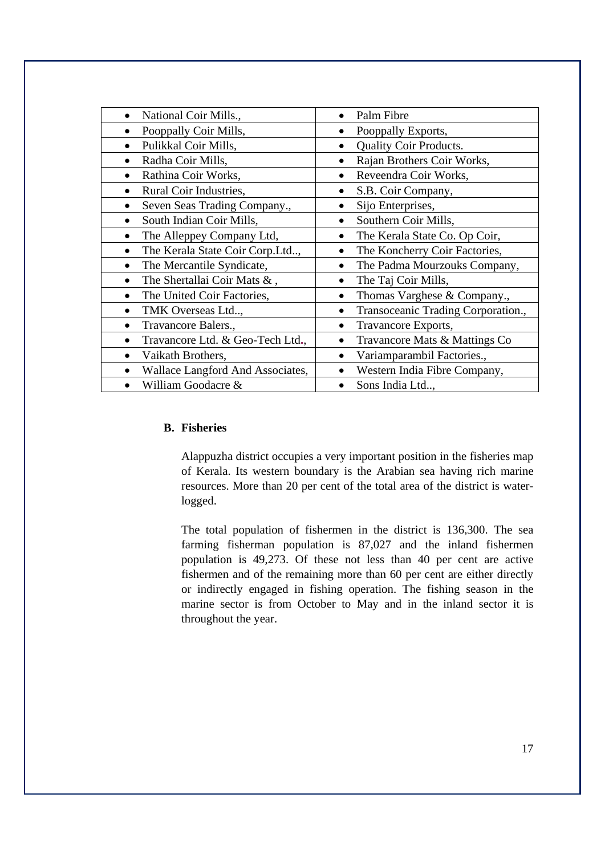| Palm Fibre                                      |
|-------------------------------------------------|
| Pooppally Exports,<br>٠                         |
| Quality Coir Products.<br>$\bullet$             |
| Rajan Brothers Coir Works,<br>$\bullet$         |
| Reveendra Coir Works,<br>$\bullet$              |
| S.B. Coir Company,                              |
| Sijo Enterprises,<br>$\bullet$                  |
| Southern Coir Mills,<br>$\bullet$               |
| The Kerala State Co. Op Coir,<br>$\bullet$      |
| The Koncherry Coir Factories,                   |
| The Padma Mourzouks Company,                    |
| The Taj Coir Mills,<br>$\bullet$                |
| Thomas Varghese & Company.,<br>$\bullet$        |
| Transoceanic Trading Corporation.,<br>$\bullet$ |
| Travancore Exports,<br>$\bullet$                |
| Travancore Mats & Mattings Co                   |
| Variamparambil Factories.,<br>$\bullet$         |
| Western India Fibre Company,<br>$\bullet$       |
| Sons India Ltd,                                 |
|                                                 |

#### **B. Fisheries**

Alappuzha district occupies a very important position in the fisheries map of Kerala. Its western boundary is the Arabian sea having rich marine resources. More than 20 per cent of the total area of the district is waterlogged.

The total population of fishermen in the district is 136,300. The sea farming fisherman population is 87,027 and the inland fishermen population is 49,273. Of these not less than 40 per cent are active fishermen and of the remaining more than 60 per cent are either directly or indirectly engaged in fishing operation. The fishing season in the marine sector is from October to May and in the inland sector it is throughout the year.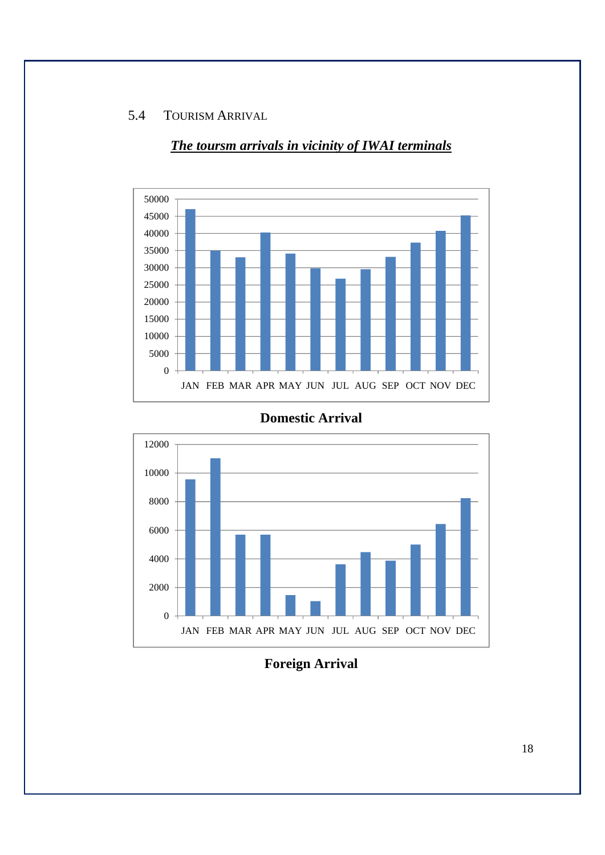### 5.4 TOURISM ARRIVAL



## *The toursm arrivals in vicinity of IWAI terminals*





**Foreign Arrival**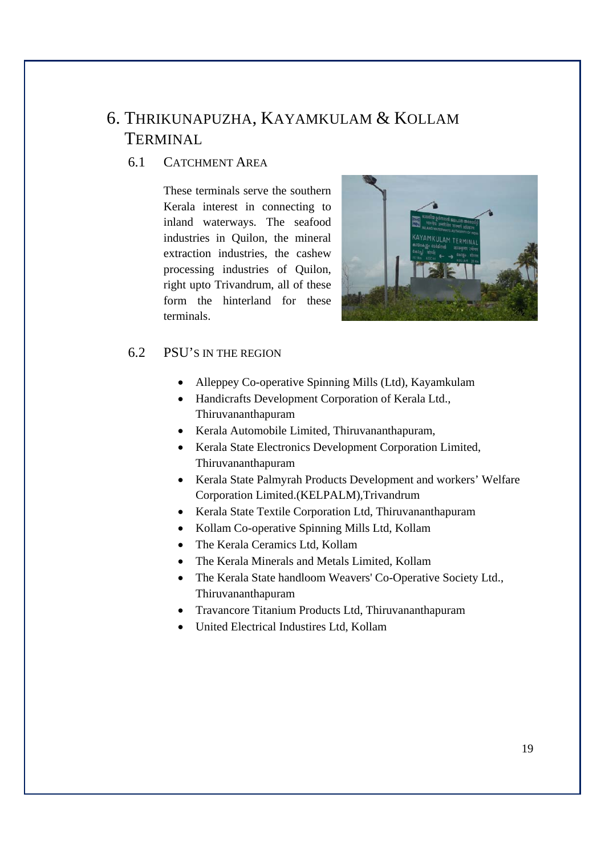# 6. THRIKUNAPUZHA, KAYAMKULAM & KOLLAM TERMINAL

## 6.1 CATCHMENT AREA

These terminals serve the southern Kerala interest in connecting to inland waterways. The seafood industries in Quilon, the mineral extraction industries, the cashew processing industries of Quilon, right upto Trivandrum, all of these form the hinterland for these terminals.



### 6.2 PSU'S IN THE REGION

- Alleppey Co-operative Spinning Mills (Ltd), Kayamkulam
- Handicrafts Development Corporation of Kerala Ltd., Thiruvananthapuram
- Kerala Automobile Limited, Thiruvananthapuram,
- Kerala State Electronics Development Corporation Limited, Thiruvananthapuram
- Kerala State Palmyrah Products Development and workers' Welfare Corporation Limited.(KELPALM),Trivandrum
- Kerala State Textile Corporation Ltd, Thiruvananthapuram
- Kollam Co-operative Spinning Mills Ltd, Kollam
- The Kerala Ceramics Ltd, Kollam
- The Kerala Minerals and Metals Limited, Kollam
- The Kerala State handloom Weavers' Co-Operative Society Ltd., Thiruvananthapuram
- Travancore Titanium Products Ltd, Thiruvananthapuram
- United Electrical Industires Ltd, Kollam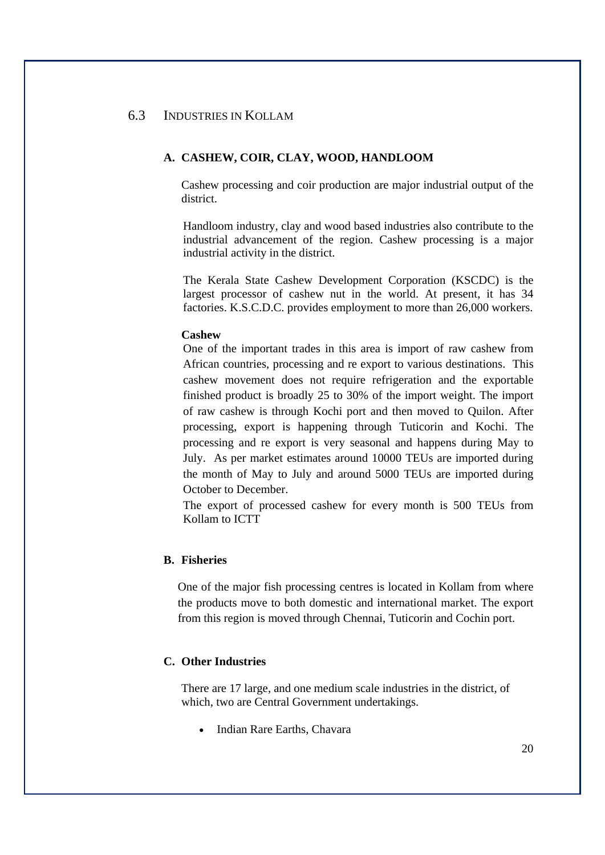#### 6.3 INDUSTRIES IN KOLLAM

#### **A. CASHEW, COIR, CLAY, WOOD, HANDLOOM**

Cashew processing and coir production are major industrial output of the district.

Handloom industry, clay and wood based industries also contribute to the industrial advancement of the region. Cashew processing is a major industrial activity in the district.

The Kerala State Cashew Development Corporation (KSCDC) is the largest processor of cashew nut in the world. At present, it has 34 factories. K.S.C.D.C. provides employment to more than 26,000 workers.

#### **Cashew**

One of the important trades in this area is import of raw cashew from African countries, processing and re export to various destinations. This cashew movement does not require refrigeration and the exportable finished product is broadly 25 to 30% of the import weight. The import of raw cashew is through Kochi port and then moved to Quilon. After processing, export is happening through Tuticorin and Kochi. The processing and re export is very seasonal and happens during May to July. As per market estimates around 10000 TEUs are imported during the month of May to July and around 5000 TEUs are imported during October to December.

The export of processed cashew for every month is 500 TEUs from Kollam to ICTT

#### **B. Fisheries**

One of the major fish processing centres is located in Kollam from where the products move to both domestic and international market. The export from this region is moved through Chennai, Tuticorin and Cochin port.

#### **C. Other Industries**

There are 17 large, and one medium scale industries in the district, of which, two are Central Government undertakings.

Indian Rare Earths, Chavara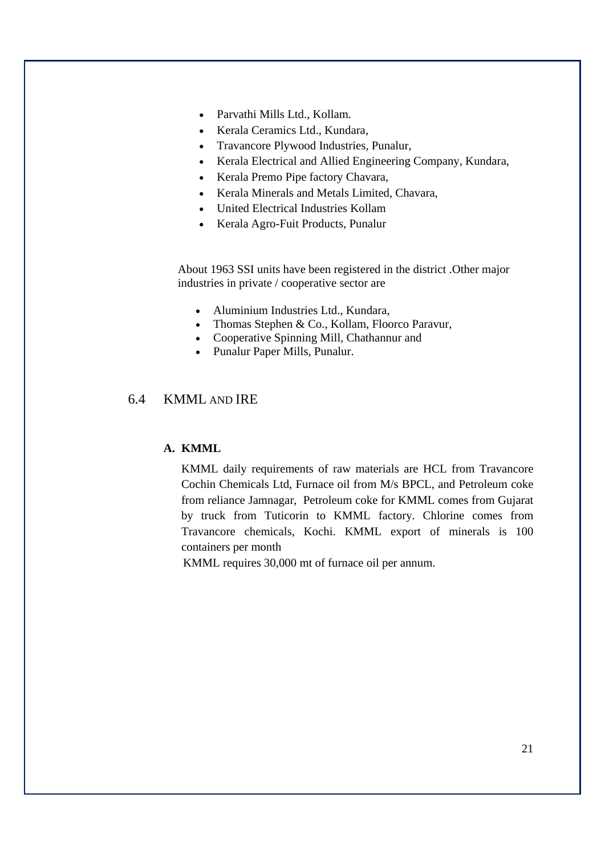- Parvathi Mills Ltd., Kollam.
- Kerala Ceramics Ltd., Kundara,
- Travancore Plywood Industries, Punalur,
- Kerala Electrical and Allied Engineering Company, Kundara,
- Kerala Premo Pipe factory Chavara,
- Kerala Minerals and Metals Limited, Chavara,
- United Electrical Industries Kollam
- Kerala Agro-Fuit Products, Punalur

About 1963 SSI units have been registered in the district .Other major industries in private / cooperative sector are

- Aluminium Industries Ltd., Kundara,
- Thomas Stephen & Co., Kollam, Floorco Paravur,
- Cooperative Spinning Mill, Chathannur and
- Punalur Paper Mills, Punalur.

### 6.4 KMML AND IRE

#### **A. KMML**

KMML daily requirements of raw materials are HCL from Travancore Cochin Chemicals Ltd, Furnace oil from M/s BPCL, and Petroleum coke from reliance Jamnagar, Petroleum coke for KMML comes from Gujarat by truck from Tuticorin to KMML factory. Chlorine comes from Travancore chemicals, Kochi. KMML export of minerals is 100 containers per month

KMML requires 30,000 mt of furnace oil per annum.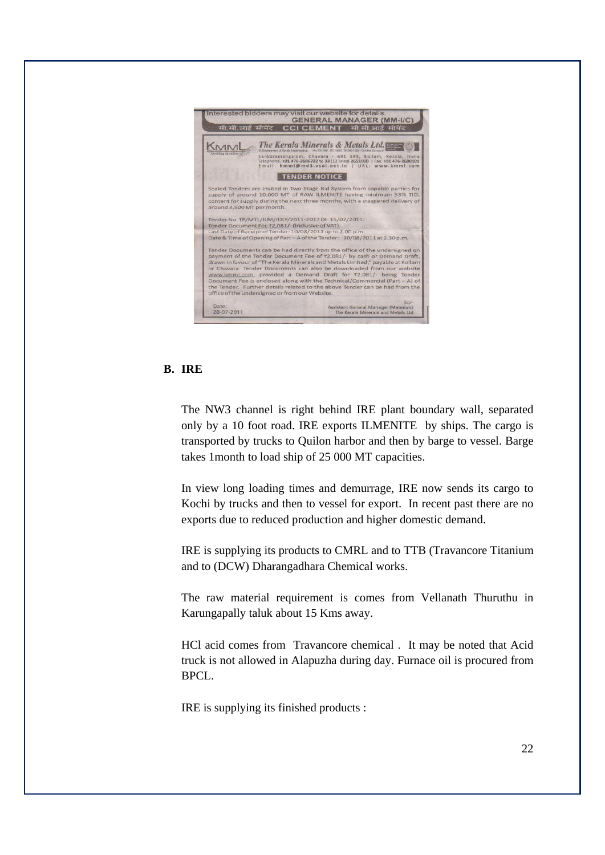

#### **B. IRE**

The NW3 channel is right behind IRE plant boundary wall, separated only by a 10 foot road. IRE exports ILMENITE by ships. The cargo is transported by trucks to Quilon harbor and then by barge to vessel. Barge takes 1month to load ship of 25 000 MT capacities.

In view long loading times and demurrage, IRE now sends its cargo to Kochi by trucks and then to vessel for export. In recent past there are no exports due to reduced production and higher domestic demand.

IRE is supplying its products to CMRL and to TTB (Travancore Titanium and to (DCW) Dharangadhara Chemical works.

The raw material requirement is comes from Vellanath Thuruthu in Karungapally taluk about 15 Kms away.

HCl acid comes from Travancore chemical . It may be noted that Acid truck is not allowed in Alapuzha during day. Furnace oil is procured from BPCL.

IRE is supplying its finished products :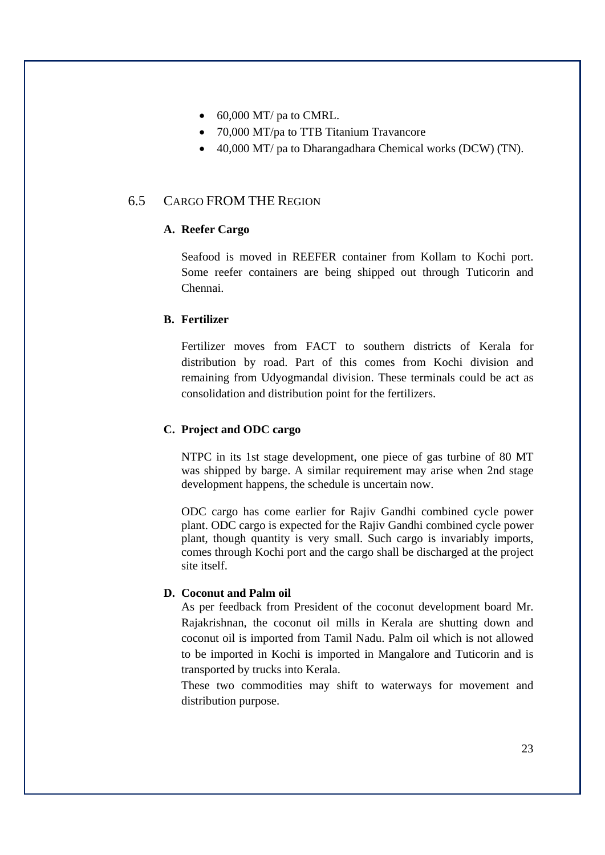- $\bullet$  60,000 MT/ pa to CMRL.
- 70,000 MT/pa to TTB Titanium Travancore
- 40,000 MT/ pa to Dharangadhara Chemical works (DCW) (TN).

### 6.5 CARGO FROM THE REGION

#### **A. Reefer Cargo**

Seafood is moved in REEFER container from Kollam to Kochi port. Some reefer containers are being shipped out through Tuticorin and Chennai.

#### **B. Fertilizer**

Fertilizer moves from FACT to southern districts of Kerala for distribution by road. Part of this comes from Kochi division and remaining from Udyogmandal division. These terminals could be act as consolidation and distribution point for the fertilizers.

#### **C. Project and ODC cargo**

NTPC in its 1st stage development, one piece of gas turbine of 80 MT was shipped by barge. A similar requirement may arise when 2nd stage development happens, the schedule is uncertain now.

ODC cargo has come earlier for Rajiv Gandhi combined cycle power plant. ODC cargo is expected for the Rajiv Gandhi combined cycle power plant, though quantity is very small. Such cargo is invariably imports, comes through Kochi port and the cargo shall be discharged at the project site itself.

#### **D. Coconut and Palm oil**

As per feedback from President of the coconut development board Mr. Rajakrishnan, the coconut oil mills in Kerala are shutting down and coconut oil is imported from Tamil Nadu. Palm oil which is not allowed to be imported in Kochi is imported in Mangalore and Tuticorin and is transported by trucks into Kerala.

These two commodities may shift to waterways for movement and distribution purpose.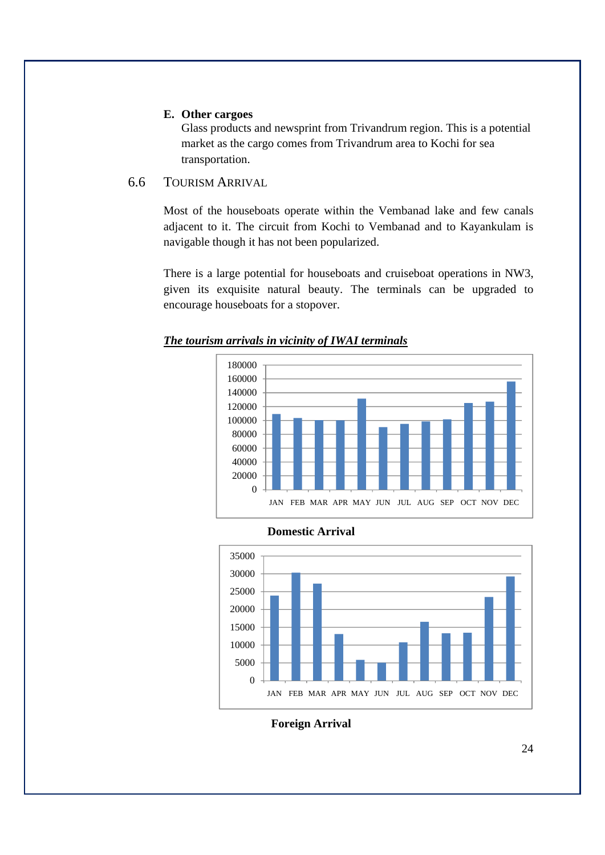#### **E. Other cargoes**

Glass products and newsprint from Trivandrum region. This is a potential market as the cargo comes from Trivandrum area to Kochi for sea transportation.

#### 6.6 TOURISM ARRIVAL

Most of the houseboats operate within the Vembanad lake and few canals adjacent to it. The circuit from Kochi to Vembanad and to Kayankulam is navigable though it has not been popularized.

There is a large potential for houseboats and cruiseboat operations in NW3, given its exquisite natural beauty. The terminals can be upgraded to encourage houseboats for a stopover.









#### **Foreign Arrival**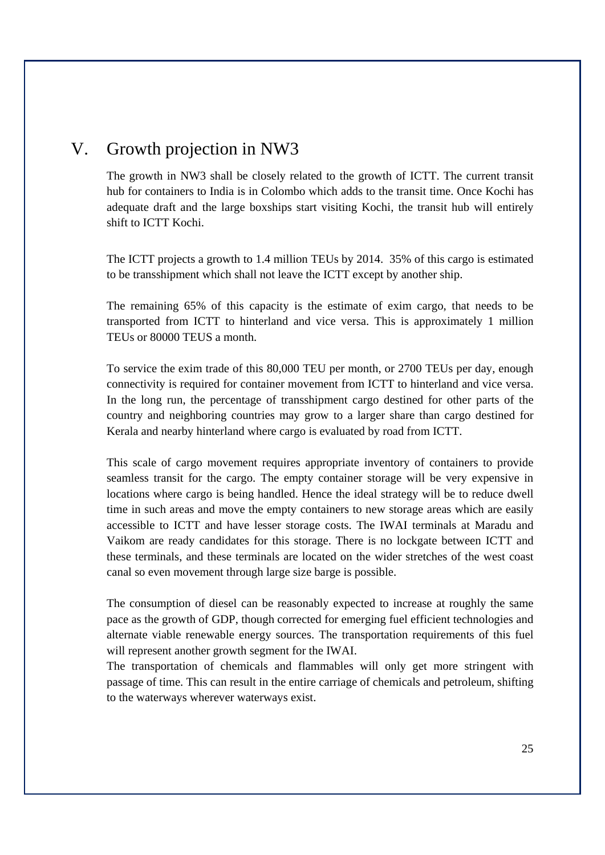# V. Growth projection in NW3

The growth in NW3 shall be closely related to the growth of ICTT. The current transit hub for containers to India is in Colombo which adds to the transit time. Once Kochi has adequate draft and the large boxships start visiting Kochi, the transit hub will entirely shift to ICTT Kochi.

The ICTT projects a growth to 1.4 million TEUs by 2014. 35% of this cargo is estimated to be transshipment which shall not leave the ICTT except by another ship.

The remaining 65% of this capacity is the estimate of exim cargo, that needs to be transported from ICTT to hinterland and vice versa. This is approximately 1 million TEUs or 80000 TEUS a month.

To service the exim trade of this 80,000 TEU per month, or 2700 TEUs per day, enough connectivity is required for container movement from ICTT to hinterland and vice versa. In the long run, the percentage of transshipment cargo destined for other parts of the country and neighboring countries may grow to a larger share than cargo destined for Kerala and nearby hinterland where cargo is evaluated by road from ICTT.

This scale of cargo movement requires appropriate inventory of containers to provide seamless transit for the cargo. The empty container storage will be very expensive in locations where cargo is being handled. Hence the ideal strategy will be to reduce dwell time in such areas and move the empty containers to new storage areas which are easily accessible to ICTT and have lesser storage costs. The IWAI terminals at Maradu and Vaikom are ready candidates for this storage. There is no lockgate between ICTT and these terminals, and these terminals are located on the wider stretches of the west coast canal so even movement through large size barge is possible.

The consumption of diesel can be reasonably expected to increase at roughly the same pace as the growth of GDP, though corrected for emerging fuel efficient technologies and alternate viable renewable energy sources. The transportation requirements of this fuel will represent another growth segment for the IWAI.

The transportation of chemicals and flammables will only get more stringent with passage of time. This can result in the entire carriage of chemicals and petroleum, shifting to the waterways wherever waterways exist.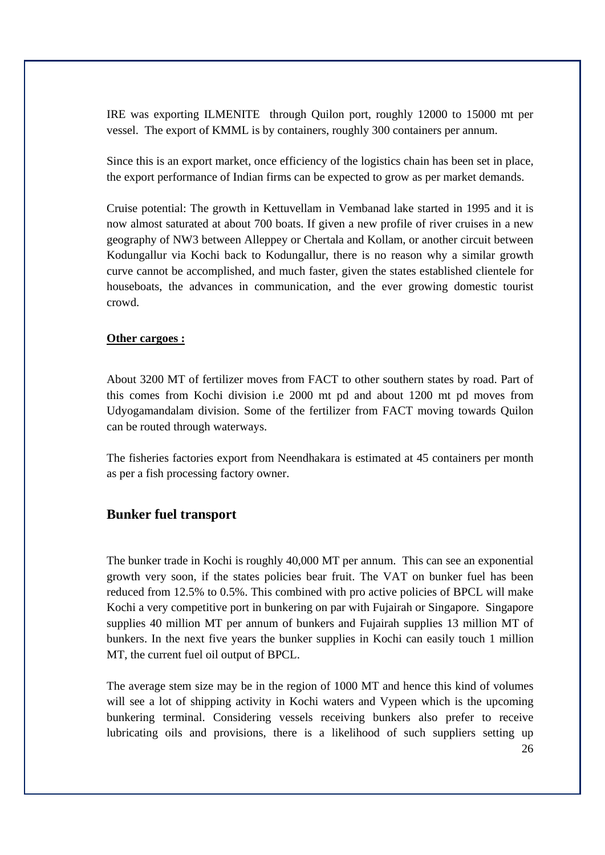IRE was exporting ILMENITE through Quilon port, roughly 12000 to 15000 mt per vessel. The export of KMML is by containers, roughly 300 containers per annum.

Since this is an export market, once efficiency of the logistics chain has been set in place, the export performance of Indian firms can be expected to grow as per market demands.

Cruise potential: The growth in Kettuvellam in Vembanad lake started in 1995 and it is now almost saturated at about 700 boats. If given a new profile of river cruises in a new geography of NW3 between Alleppey or Chertala and Kollam, or another circuit between Kodungallur via Kochi back to Kodungallur, there is no reason why a similar growth curve cannot be accomplished, and much faster, given the states established clientele for houseboats, the advances in communication, and the ever growing domestic tourist crowd.

#### **Other cargoes :**

About 3200 MT of fertilizer moves from FACT to other southern states by road. Part of this comes from Kochi division i.e 2000 mt pd and about 1200 mt pd moves from Udyogamandalam division. Some of the fertilizer from FACT moving towards Quilon can be routed through waterways.

The fisheries factories export from Neendhakara is estimated at 45 containers per month as per a fish processing factory owner.

#### **Bunker fuel transport**

The bunker trade in Kochi is roughly 40,000 MT per annum. This can see an exponential growth very soon, if the states policies bear fruit. The VAT on bunker fuel has been reduced from 12.5% to 0.5%. This combined with pro active policies of BPCL will make Kochi a very competitive port in bunkering on par with Fujairah or Singapore. Singapore supplies 40 million MT per annum of bunkers and Fujairah supplies 13 million MT of bunkers. In the next five years the bunker supplies in Kochi can easily touch 1 million MT, the current fuel oil output of BPCL.

The average stem size may be in the region of 1000 MT and hence this kind of volumes will see a lot of shipping activity in Kochi waters and Vypeen which is the upcoming bunkering terminal. Considering vessels receiving bunkers also prefer to receive lubricating oils and provisions, there is a likelihood of such suppliers setting up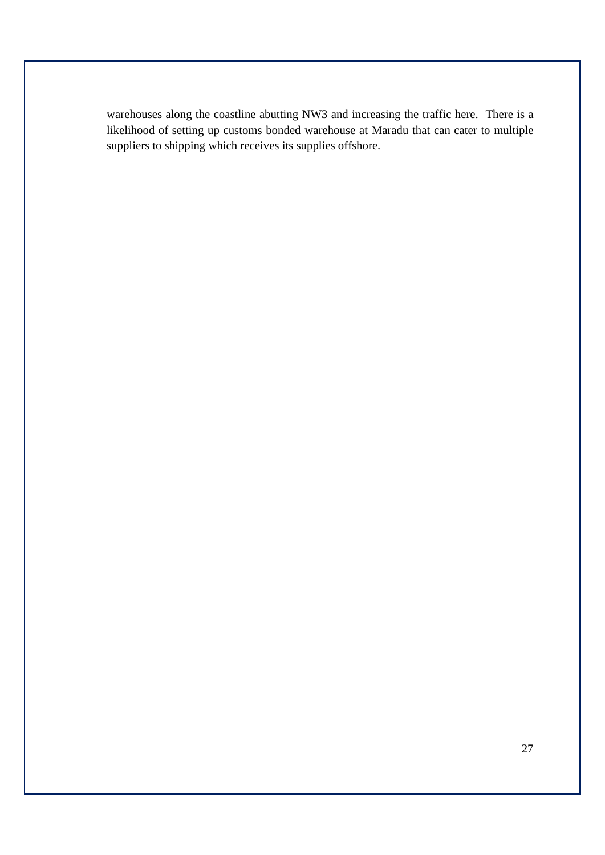warehouses along the coastline abutting NW3 and increasing the traffic here. There is a likelihood of setting up customs bonded warehouse at Maradu that can cater to multiple suppliers to shipping which receives its supplies offshore.